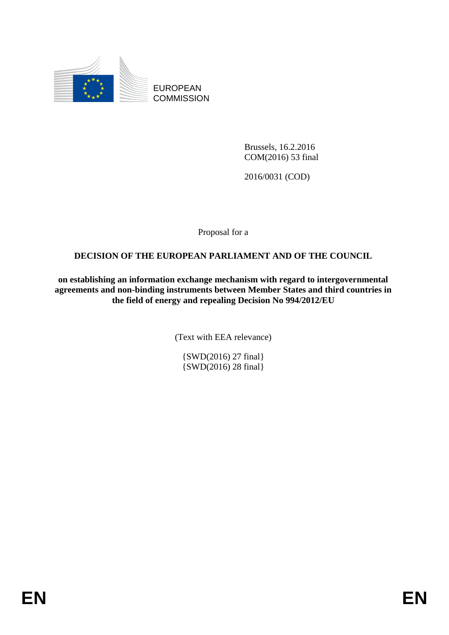

EUROPEAN **COMMISSION** 

> Brussels, 16.2.2016 COM(2016) 53 final

2016/0031 (COD)

Proposal for a

# **DECISION OF THE EUROPEAN PARLIAMENT AND OF THE COUNCIL**

**on establishing an information exchange mechanism with regard to intergovernmental agreements and non-binding instruments between Member States and third countries in the field of energy and repealing Decision No 994/2012/EU**

(Text with EEA relevance)

{SWD(2016) 27 final} {SWD(2016) 28 final}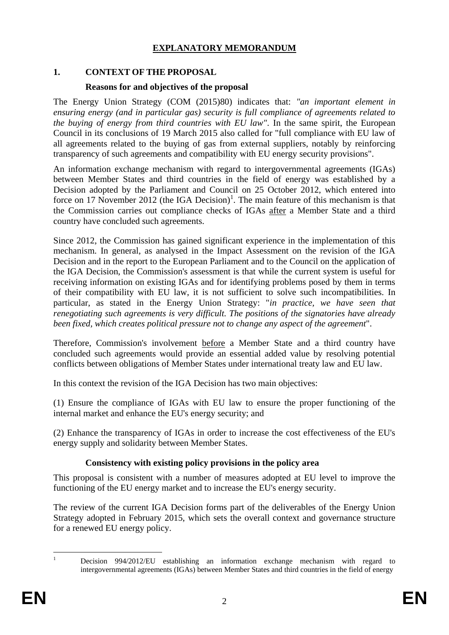## **EXPLANATORY MEMORANDUM**

## **1. CONTEXT OF THE PROPOSAL**

### **Reasons for and objectives of the proposal**

The Energy Union Strategy (COM (2015)80) indicates that: *"an important element in ensuring energy (and in particular gas) security is full compliance of agreements related to the buying of energy from third countries with EU law"*. In the same spirit, the European Council in its conclusions of 19 March 2015 also called for "full compliance with EU law of all agreements related to the buying of gas from external suppliers, notably by reinforcing transparency of such agreements and compatibility with EU energy security provisions".

An information exchange mechanism with regard to intergovernmental agreements (IGAs) between Member States and third countries in the field of energy was established by a Decision adopted by the Parliament and Council on 25 October 2012, which entered into force on 17 November 2012 (the IGA Decision)<sup>1</sup>. The main feature of this mechanism is that the Commission carries out compliance checks of IGAs after a Member State and a third country have concluded such agreements.

Since 2012, the Commission has gained significant experience in the implementation of this mechanism. In general, as analysed in the Impact Assessment on the revision of the IGA Decision and in the report to the European Parliament and to the Council on the application of the IGA Decision, the Commission's assessment is that while the current system is useful for receiving information on existing IGAs and for identifying problems posed by them in terms of their compatibility with EU law, it is not sufficient to solve such incompatibilities. In particular, as stated in the Energy Union Strategy: "*in practice, we have seen that renegotiating such agreements is very difficult. The positions of the signatories have already been fixed, which creates political pressure not to change any aspect of the agreement*".

Therefore, Commission's involvement before a Member State and a third country have concluded such agreements would provide an essential added value by resolving potential conflicts between obligations of Member States under international treaty law and EU law.

In this context the revision of the IGA Decision has two main objectives:

(1) Ensure the compliance of IGAs with EU law to ensure the proper functioning of the internal market and enhance the EU's energy security; and

(2) Enhance the transparency of IGAs in order to increase the cost effectiveness of the EU's energy supply and solidarity between Member States.

# **Consistency with existing policy provisions in the policy area**

This proposal is consistent with a number of measures adopted at EU level to improve the functioning of the EU energy market and to increase the EU's energy security.

The review of the current IGA Decision forms part of the deliverables of the Energy Union Strategy adopted in February 2015, which sets the overall context and governance structure for a renewed EU energy policy.

 $\mathbf{1}$ 

<sup>1</sup> Decision 994/2012/EU establishing an information exchange mechanism with regard to intergovernmental agreements (IGAs) between Member States and third countries in the field of energy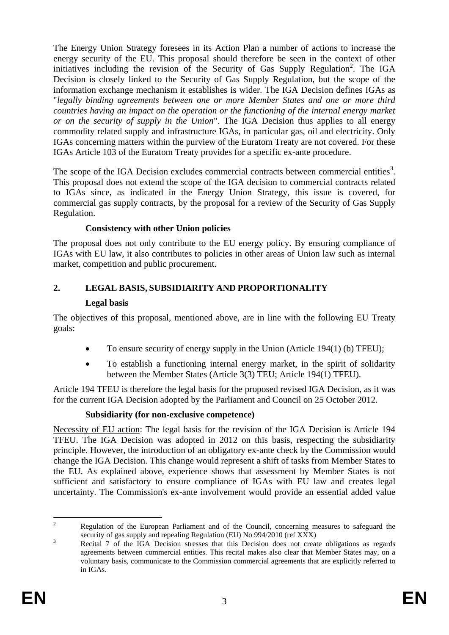The Energy Union Strategy foresees in its Action Plan a number of actions to increase the energy security of the EU. This proposal should therefore be seen in the context of other initiatives including the revision of the Security of Gas Supply Regulation<sup>2</sup>. The IGA Decision is closely linked to the Security of Gas Supply Regulation, but the scope of the information exchange mechanism it establishes is wider. The IGA Decision defines IGAs as "*legally binding agreements between one or more Member States and one or more third countries having an impact on the operation or the functioning of the internal energy market or on the security of supply in the Union*". The IGA Decision thus applies to all energy commodity related supply and infrastructure IGAs, in particular gas, oil and electricity. Only IGAs concerning matters within the purview of the Euratom Treaty are not covered. For these IGAs Article 103 of the Euratom Treaty provides for a specific ex-ante procedure.

The scope of the IGA Decision excludes commercial contracts between commercial entities<sup>3</sup>. This proposal does not extend the scope of the IGA decision to commercial contracts related to IGAs since, as indicated in the Energy Union Strategy, this issue is covered, for commercial gas supply contracts, by the proposal for a review of the Security of Gas Supply Regulation.

# **Consistency with other Union policies**

The proposal does not only contribute to the EU energy policy. By ensuring compliance of IGAs with EU law, it also contributes to policies in other areas of Union law such as internal market, competition and public procurement.

# **2. LEGAL BASIS, SUBSIDIARITY AND PROPORTIONALITY**

# **Legal basis**

The objectives of this proposal, mentioned above, are in line with the following EU Treaty goals:

- $\bullet$  To ensure security of energy supply in the Union (Article 194(1) (b) TFEU);
- To establish a functioning internal energy market, in the spirit of solidarity between the Member States (Article 3(3) TEU; Article 194(1) TFEU).

Article 194 TFEU is therefore the legal basis for the proposed revised IGA Decision, as it was for the current IGA Decision adopted by the Parliament and Council on 25 October 2012.

# **Subsidiarity (for non-exclusive competence)**

Necessity of EU action: The legal basis for the revision of the IGA Decision is Article 194 TFEU. The IGA Decision was adopted in 2012 on this basis, respecting the subsidiarity principle. However, the introduction of an obligatory ex-ante check by the Commission would change the IGA Decision. This change would represent a shift of tasks from Member States to the EU. As explained above, experience shows that assessment by Member States is not sufficient and satisfactory to ensure compliance of IGAs with EU law and creates legal uncertainty. The Commission's ex-ante involvement would provide an essential added value

 $\overline{c}$ <sup>2</sup> Regulation of the European Parliament and of the Council, concerning measures to safeguard the security of gas supply and repealing Regulation (EU) No 994/2010 (ref XXX)

<sup>&</sup>lt;sup>3</sup><br>Recital 7 of the IGA Decision stresses that this Decision does not create obligations as regards agreements between commercial entities. This recital makes also clear that Member States may, on a voluntary basis, communicate to the Commission commercial agreements that are explicitly referred to in IGAs.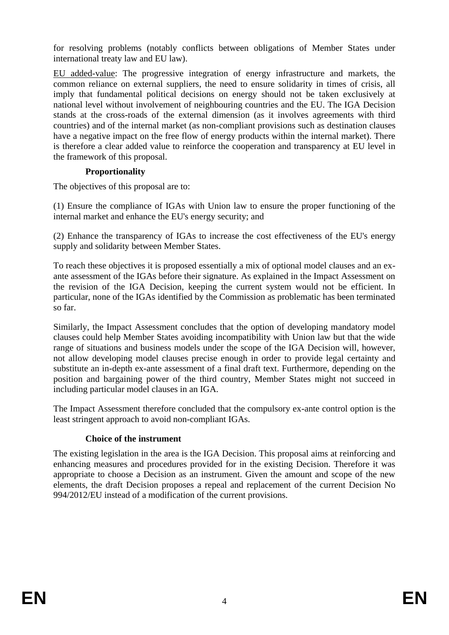for resolving problems (notably conflicts between obligations of Member States under international treaty law and EU law).

EU added-value: The progressive integration of energy infrastructure and markets, the common reliance on external suppliers, the need to ensure solidarity in times of crisis, all imply that fundamental political decisions on energy should not be taken exclusively at national level without involvement of neighbouring countries and the EU. The IGA Decision stands at the cross-roads of the external dimension (as it involves agreements with third countries) and of the internal market (as non-compliant provisions such as destination clauses have a negative impact on the free flow of energy products within the internal market). There is therefore a clear added value to reinforce the cooperation and transparency at EU level in the framework of this proposal.

## **Proportionality**

The objectives of this proposal are to:

(1) Ensure the compliance of IGAs with Union law to ensure the proper functioning of the internal market and enhance the EU's energy security; and

(2) Enhance the transparency of IGAs to increase the cost effectiveness of the EU's energy supply and solidarity between Member States.

To reach these objectives it is proposed essentially a mix of optional model clauses and an exante assessment of the IGAs before their signature. As explained in the Impact Assessment on the revision of the IGA Decision, keeping the current system would not be efficient. In particular, none of the IGAs identified by the Commission as problematic has been terminated so far.

Similarly, the Impact Assessment concludes that the option of developing mandatory model clauses could help Member States avoiding incompatibility with Union law but that the wide range of situations and business models under the scope of the IGA Decision will, however, not allow developing model clauses precise enough in order to provide legal certainty and substitute an in-depth ex-ante assessment of a final draft text. Furthermore, depending on the position and bargaining power of the third country, Member States might not succeed in including particular model clauses in an IGA.

The Impact Assessment therefore concluded that the compulsory ex-ante control option is the least stringent approach to avoid non-compliant IGAs.

# **Choice of the instrument**

The existing legislation in the area is the IGA Decision. This proposal aims at reinforcing and enhancing measures and procedures provided for in the existing Decision. Therefore it was appropriate to choose a Decision as an instrument. Given the amount and scope of the new elements, the draft Decision proposes a repeal and replacement of the current Decision No 994/2012/EU instead of a modification of the current provisions.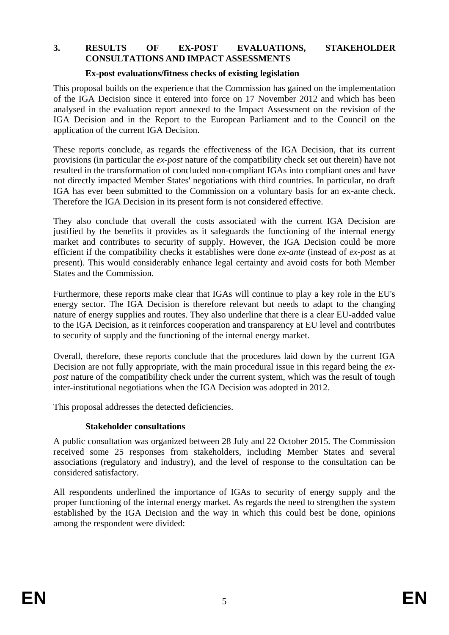#### **3. RESULTS OF EX-POST EVALUATIONS, STAKEHOLDER CONSULTATIONS AND IMPACT ASSESSMENTS**

#### **Ex-post evaluations/fitness checks of existing legislation**

This proposal builds on the experience that the Commission has gained on the implementation of the IGA Decision since it entered into force on 17 November 2012 and which has been analysed in the evaluation report annexed to the Impact Assessment on the revision of the IGA Decision and in the Report to the European Parliament and to the Council on the application of the current IGA Decision.

These reports conclude, as regards the effectiveness of the IGA Decision, that its current provisions (in particular the *ex-post* nature of the compatibility check set out therein) have not resulted in the transformation of concluded non-compliant IGAs into compliant ones and have not directly impacted Member States' negotiations with third countries. In particular, no draft IGA has ever been submitted to the Commission on a voluntary basis for an ex-ante check. Therefore the IGA Decision in its present form is not considered effective.

They also conclude that overall the costs associated with the current IGA Decision are justified by the benefits it provides as it safeguards the functioning of the internal energy market and contributes to security of supply. However, the IGA Decision could be more efficient if the compatibility checks it establishes were done *ex-ante* (instead of *ex-post* as at present). This would considerably enhance legal certainty and avoid costs for both Member States and the Commission.

Furthermore, these reports make clear that IGAs will continue to play a key role in the EU's energy sector. The IGA Decision is therefore relevant but needs to adapt to the changing nature of energy supplies and routes. They also underline that there is a clear EU-added value to the IGA Decision, as it reinforces cooperation and transparency at EU level and contributes to security of supply and the functioning of the internal energy market.

Overall, therefore, these reports conclude that the procedures laid down by the current IGA Decision are not fully appropriate, with the main procedural issue in this regard being the *expost* nature of the compatibility check under the current system, which was the result of tough inter-institutional negotiations when the IGA Decision was adopted in 2012.

This proposal addresses the detected deficiencies.

### **Stakeholder consultations**

A public consultation was organized between 28 July and 22 October 2015. The Commission received some 25 responses from stakeholders, including Member States and several associations (regulatory and industry), and the level of response to the consultation can be considered satisfactory.

All respondents underlined the importance of IGAs to security of energy supply and the proper functioning of the internal energy market. As regards the need to strengthen the system established by the IGA Decision and the way in which this could best be done, opinions among the respondent were divided: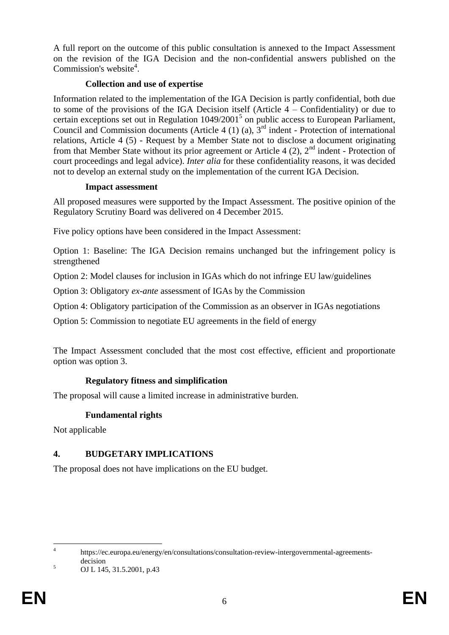A full report on the outcome of this public consultation is annexed to the Impact Assessment on the revision of the IGA Decision and the non-confidential answers published on the Commission's website<sup>4</sup>.

## **Collection and use of expertise**

Information related to the implementation of the IGA Decision is partly confidential, both due to some of the provisions of the IGA Decision itself (Article 4 – Confidentiality) or due to certain exceptions set out in Regulation  $1049/2001^5$  on public access to European Parliament, Council and Commission documents (Article 4 (1) (a),  $3<sup>rd</sup>$  indent - Protection of international relations, Article 4 (5) - Request by a Member State not to disclose a document originating from that Member State without its prior agreement or Article 4  $(2)$ ,  $2<sup>nd</sup>$  indent - Protection of court proceedings and legal advice). *Inter alia* for these confidentiality reasons, it was decided not to develop an external study on the implementation of the current IGA Decision.

### **Impact assessment**

All proposed measures were supported by the Impact Assessment. The positive opinion of the Regulatory Scrutiny Board was delivered on 4 December 2015.

Five policy options have been considered in the Impact Assessment:

Option 1: Baseline: The IGA Decision remains unchanged but the infringement policy is strengthened

Option 2: Model clauses for inclusion in IGAs which do not infringe EU law/guidelines

Option 3: Obligatory *ex-ante* assessment of IGAs by the Commission

Option 4: Obligatory participation of the Commission as an observer in IGAs negotiations

Option 5: Commission to negotiate EU agreements in the field of energy

The Impact Assessment concluded that the most cost effective, efficient and proportionate option was option 3.

# **Regulatory fitness and simplification**

The proposal will cause a limited increase in administrative burden.

# **Fundamental rights**

Not applicable

# **4. BUDGETARY IMPLICATIONS**

The proposal does not have implications on the EU budget.

 $\frac{1}{4}$ [https://ec.europa.eu/energy/en/consultations/consultation-review-intergovernmental-agreements](https://ec.europa.eu/energy/en/consultations/consultation-review-intergovernmental-agreements-decision)[decision](https://ec.europa.eu/energy/en/consultations/consultation-review-intergovernmental-agreements-decision)

 $5 \qquad \text{OJ L} \, 145, 31.5.2001, \text{p.}43$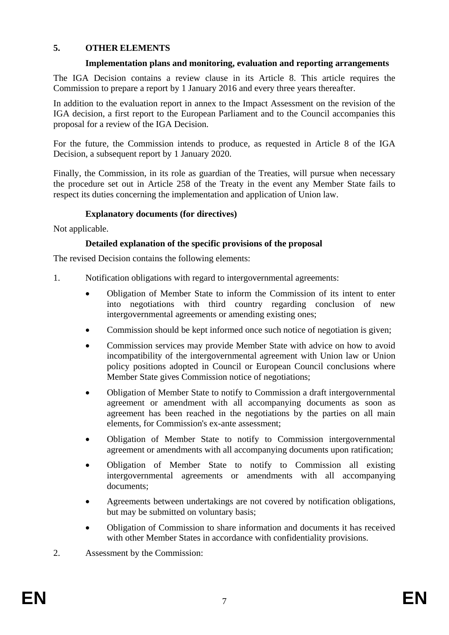# **5. OTHER ELEMENTS**

### **Implementation plans and monitoring, evaluation and reporting arrangements**

The IGA Decision contains a review clause in its Article 8. This article requires the Commission to prepare a report by 1 January 2016 and every three years thereafter.

In addition to the evaluation report in annex to the Impact Assessment on the revision of the IGA decision, a first report to the European Parliament and to the Council accompanies this proposal for a review of the IGA Decision.

For the future, the Commission intends to produce, as requested in Article 8 of the IGA Decision, a subsequent report by 1 January 2020.

Finally, the Commission, in its role as guardian of the Treaties, will pursue when necessary the procedure set out in Article 258 of the Treaty in the event any Member State fails to respect its duties concerning the implementation and application of Union law.

## **Explanatory documents (for directives)**

Not applicable.

## **Detailed explanation of the specific provisions of the proposal**

The revised Decision contains the following elements:

- 1. Notification obligations with regard to intergovernmental agreements:
	- Obligation of Member State to inform the Commission of its intent to enter into negotiations with third country regarding conclusion of new intergovernmental agreements or amending existing ones;
	- Commission should be kept informed once such notice of negotiation is given;
	- Commission services may provide Member State with advice on how to avoid incompatibility of the intergovernmental agreement with Union law or Union policy positions adopted in Council or European Council conclusions where Member State gives Commission notice of negotiations;
	- Obligation of Member State to notify to Commission a draft intergovernmental agreement or amendment with all accompanying documents as soon as agreement has been reached in the negotiations by the parties on all main elements, for Commission's ex-ante assessment;
	- Obligation of Member State to notify to Commission intergovernmental agreement or amendments with all accompanying documents upon ratification;
	- Obligation of Member State to notify to Commission all existing intergovernmental agreements or amendments with all accompanying documents;
	- Agreements between undertakings are not covered by notification obligations, but may be submitted on voluntary basis;
	- Obligation of Commission to share information and documents it has received with other Member States in accordance with confidentiality provisions.
- 2. Assessment by the Commission: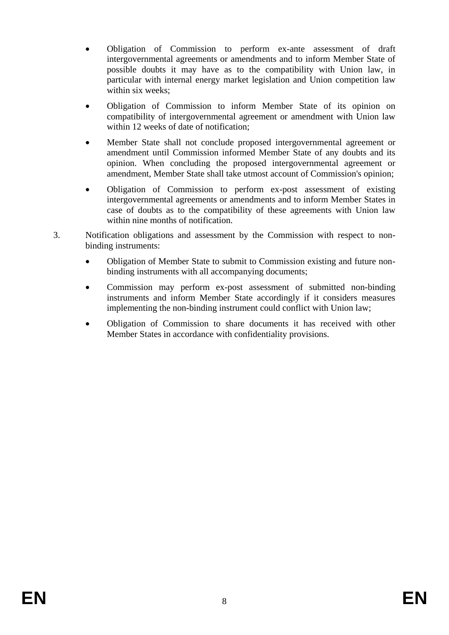- Obligation of Commission to perform ex-ante assessment of draft intergovernmental agreements or amendments and to inform Member State of possible doubts it may have as to the compatibility with Union law, in particular with internal energy market legislation and Union competition law within six weeks;
- Obligation of Commission to inform Member State of its opinion on compatibility of intergovernmental agreement or amendment with Union law within 12 weeks of date of notification;
- Member State shall not conclude proposed intergovernmental agreement or amendment until Commission informed Member State of any doubts and its opinion. When concluding the proposed intergovernmental agreement or amendment, Member State shall take utmost account of Commission's opinion;
- Obligation of Commission to perform ex-post assessment of existing intergovernmental agreements or amendments and to inform Member States in case of doubts as to the compatibility of these agreements with Union law within nine months of notification.
- 3. Notification obligations and assessment by the Commission with respect to nonbinding instruments:
	- Obligation of Member State to submit to Commission existing and future nonbinding instruments with all accompanying documents;
	- Commission may perform ex-post assessment of submitted non-binding instruments and inform Member State accordingly if it considers measures implementing the non-binding instrument could conflict with Union law;
	- Obligation of Commission to share documents it has received with other Member States in accordance with confidentiality provisions.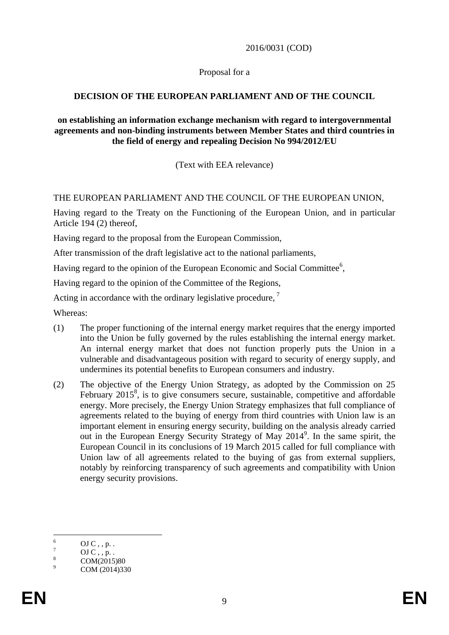2016/0031 (COD)

Proposal for a

# **DECISION OF THE EUROPEAN PARLIAMENT AND OF THE COUNCIL**

### **on establishing an information exchange mechanism with regard to intergovernmental agreements and non-binding instruments between Member States and third countries in the field of energy and repealing Decision No 994/2012/EU**

(Text with EEA relevance)

# THE EUROPEAN PARLIAMENT AND THE COUNCIL OF THE EUROPEAN UNION,

Having regard to the Treaty on the Functioning of the European Union, and in particular Article 194 (2) thereof,

Having regard to the proposal from the European Commission,

After transmission of the draft legislative act to the national parliaments,

Having regard to the opinion of the European Economic and Social Committee<sup>6</sup>,

Having regard to the opinion of the Committee of the Regions,

Acting in accordance with the ordinary legislative procedure,<sup>7</sup>

Whereas:

- (1) The proper functioning of the internal energy market requires that the energy imported into the Union be fully governed by the rules establishing the internal energy market. An internal energy market that does not function properly puts the Union in a vulnerable and disadvantageous position with regard to security of energy supply, and undermines its potential benefits to European consumers and industry.
- (2) The objective of the Energy Union Strategy, as adopted by the Commission on 25 February 2015<sup>8</sup>, is to give consumers secure, sustainable, competitive and affordable energy. More precisely, the Energy Union Strategy emphasizes that full compliance of agreements related to the buying of energy from third countries with Union law is an important element in ensuring energy security, building on the analysis already carried out in the European Energy Security Strategy of May 2014<sup>9</sup>. In the same spirit, the European Council in its conclusions of 19 March 2015 called for full compliance with Union law of all agreements related to the buying of gas from external suppliers, notably by reinforcing transparency of such agreements and compatibility with Union energy security provisions.

<sup>6</sup>  $\frac{6}{7}$  OJ C, , p. .

 $\frac{7}{8}$  OJ C, , p. .

 $\frac{8}{9}$  COM(2015)80

COM (2014)330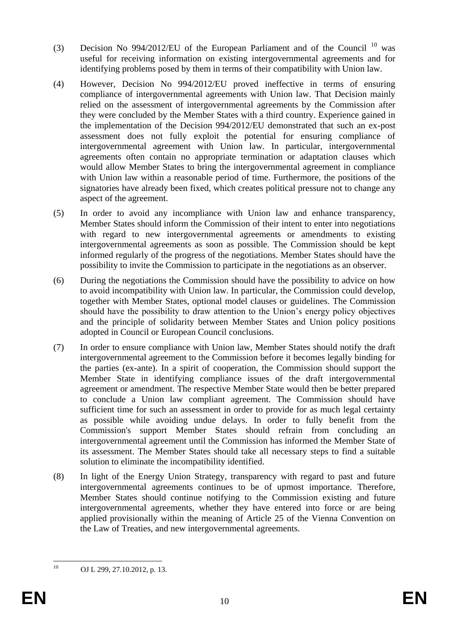- (3) Decision No 994/2012/EU of the European Parliament and of the Council  $^{10}$  was useful for receiving information on existing intergovernmental agreements and for identifying problems posed by them in terms of their compatibility with Union law.
- (4) However, Decision No 994/2012/EU proved ineffective in terms of ensuring compliance of intergovernmental agreements with Union law. That Decision mainly relied on the assessment of intergovernmental agreements by the Commission after they were concluded by the Member States with a third country. Experience gained in the implementation of the Decision 994/2012/EU demonstrated that such an ex-post assessment does not fully exploit the potential for ensuring compliance of intergovernmental agreement with Union law. In particular, intergovernmental agreements often contain no appropriate termination or adaptation clauses which would allow Member States to bring the intergovernmental agreement in compliance with Union law within a reasonable period of time. Furthermore, the positions of the signatories have already been fixed, which creates political pressure not to change any aspect of the agreement.
- (5) In order to avoid any incompliance with Union law and enhance transparency, Member States should inform the Commission of their intent to enter into negotiations with regard to new intergovernmental agreements or amendments to existing intergovernmental agreements as soon as possible. The Commission should be kept informed regularly of the progress of the negotiations. Member States should have the possibility to invite the Commission to participate in the negotiations as an observer.
- (6) During the negotiations the Commission should have the possibility to advice on how to avoid incompatibility with Union law. In particular, the Commission could develop, together with Member States, optional model clauses or guidelines. The Commission should have the possibility to draw attention to the Union's energy policy objectives and the principle of solidarity between Member States and Union policy positions adopted in Council or European Council conclusions.
- (7) In order to ensure compliance with Union law, Member States should notify the draft intergovernmental agreement to the Commission before it becomes legally binding for the parties (ex-ante). In a spirit of cooperation, the Commission should support the Member State in identifying compliance issues of the draft intergovernmental agreement or amendment. The respective Member State would then be better prepared to conclude a Union law compliant agreement. The Commission should have sufficient time for such an assessment in order to provide for as much legal certainty as possible while avoiding undue delays. In order to fully benefit from the Commission's support Member States should refrain from concluding an intergovernmental agreement until the Commission has informed the Member State of its assessment. The Member States should take all necessary steps to find a suitable solution to eliminate the incompatibility identified.
- (8) In light of the Energy Union Strategy, transparency with regard to past and future intergovernmental agreements continues to be of upmost importance. Therefore, Member States should continue notifying to the Commission existing and future intergovernmental agreements, whether they have entered into force or are being applied provisionally within the meaning of Article 25 of the Vienna Convention on the Law of Treaties, and new intergovernmental agreements.

 $10$ OJ L 299, 27.10.2012, p. 13.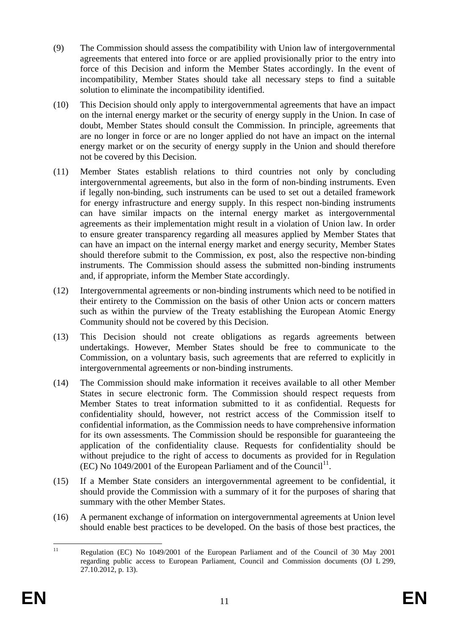- (9) The Commission should assess the compatibility with Union law of intergovernmental agreements that entered into force or are applied provisionally prior to the entry into force of this Decision and inform the Member States accordingly. In the event of incompatibility, Member States should take all necessary steps to find a suitable solution to eliminate the incompatibility identified.
- (10) This Decision should only apply to intergovernmental agreements that have an impact on the internal energy market or the security of energy supply in the Union. In case of doubt, Member States should consult the Commission. In principle, agreements that are no longer in force or are no longer applied do not have an impact on the internal energy market or on the security of energy supply in the Union and should therefore not be covered by this Decision.
- (11) Member States establish relations to third countries not only by concluding intergovernmental agreements, but also in the form of non-binding instruments. Even if legally non-binding, such instruments can be used to set out a detailed framework for energy infrastructure and energy supply. In this respect non-binding instruments can have similar impacts on the internal energy market as intergovernmental agreements as their implementation might result in a violation of Union law. In order to ensure greater transparency regarding all measures applied by Member States that can have an impact on the internal energy market and energy security, Member States should therefore submit to the Commission, ex post, also the respective non-binding instruments. The Commission should assess the submitted non-binding instruments and, if appropriate, inform the Member State accordingly.
- (12) Intergovernmental agreements or non-binding instruments which need to be notified in their entirety to the Commission on the basis of other Union acts or concern matters such as within the purview of the Treaty establishing the European Atomic Energy Community should not be covered by this Decision.
- (13) This Decision should not create obligations as regards agreements between undertakings. However, Member States should be free to communicate to the Commission, on a voluntary basis, such agreements that are referred to explicitly in intergovernmental agreements or non-binding instruments.
- (14) The Commission should make information it receives available to all other Member States in secure electronic form. The Commission should respect requests from Member States to treat information submitted to it as confidential. Requests for confidentiality should, however, not restrict access of the Commission itself to confidential information, as the Commission needs to have comprehensive information for its own assessments. The Commission should be responsible for guaranteeing the application of the confidentiality clause. Requests for confidentiality should be without prejudice to the right of access to documents as provided for in Regulation  $(EC)$  No 1049/2001 of the European Parliament and of the Council<sup>11</sup>.
- (15) If a Member State considers an intergovernmental agreement to be confidential, it should provide the Commission with a summary of it for the purposes of sharing that summary with the other Member States.
- (16) A permanent exchange of information on intergovernmental agreements at Union level should enable best practices to be developed. On the basis of those best practices, the

 $\overline{11}$ <sup>11</sup> Regulation (EC) No 1049/2001 of the European Parliament and of the Council of 30 May 2001 regarding public access to European Parliament, Council and Commission documents (OJ L 299, 27.10.2012, p. 13).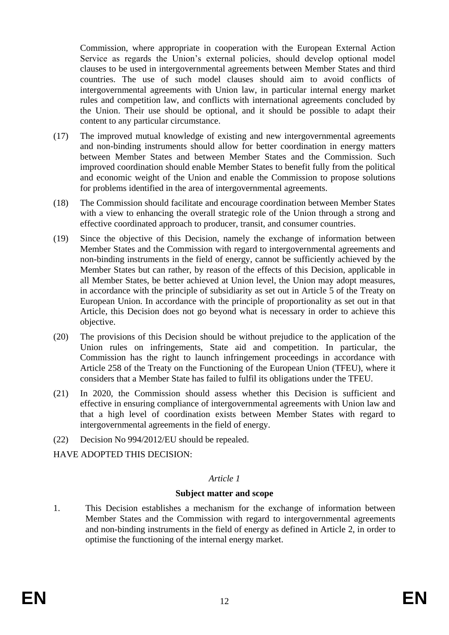Commission, where appropriate in cooperation with the European External Action Service as regards the Union's external policies, should develop optional model clauses to be used in intergovernmental agreements between Member States and third countries. The use of such model clauses should aim to avoid conflicts of intergovernmental agreements with Union law, in particular internal energy market rules and competition law, and conflicts with international agreements concluded by the Union. Their use should be optional, and it should be possible to adapt their content to any particular circumstance.

- (17) The improved mutual knowledge of existing and new intergovernmental agreements and non-binding instruments should allow for better coordination in energy matters between Member States and between Member States and the Commission. Such improved coordination should enable Member States to benefit fully from the political and economic weight of the Union and enable the Commission to propose solutions for problems identified in the area of intergovernmental agreements.
- (18) The Commission should facilitate and encourage coordination between Member States with a view to enhancing the overall strategic role of the Union through a strong and effective coordinated approach to producer, transit, and consumer countries.
- (19) Since the objective of this Decision, namely the exchange of information between Member States and the Commission with regard to intergovernmental agreements and non-binding instruments in the field of energy, cannot be sufficiently achieved by the Member States but can rather, by reason of the effects of this Decision, applicable in all Member States, be better achieved at Union level, the Union may adopt measures, in accordance with the principle of subsidiarity as set out in Article 5 of the Treaty on European Union. In accordance with the principle of proportionality as set out in that Article, this Decision does not go beyond what is necessary in order to achieve this objective.
- (20) The provisions of this Decision should be without prejudice to the application of the Union rules on infringements, State aid and competition. In particular, the Commission has the right to launch infringement proceedings in accordance with Article 258 of the Treaty on the Functioning of the European Union (TFEU), where it considers that a Member State has failed to fulfil its obligations under the TFEU.
- (21) In 2020, the Commission should assess whether this Decision is sufficient and effective in ensuring compliance of intergovernmental agreements with Union law and that a high level of coordination exists between Member States with regard to intergovernmental agreements in the field of energy.
- (22) Decision No 994/2012/EU should be repealed.

HAVE ADOPTED THIS DECISION:

# *Article 1*

### **Subject matter and scope**

1. This Decision establishes a mechanism for the exchange of information between Member States and the Commission with regard to intergovernmental agreements and non-binding instruments in the field of energy as defined in Article 2, in order to optimise the functioning of the internal energy market.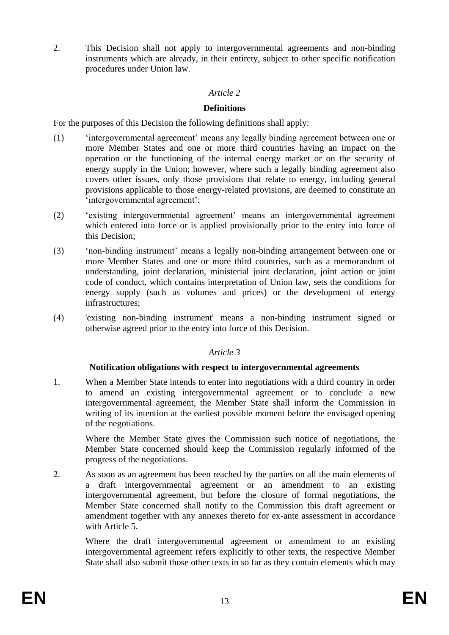2. This Decision shall not apply to intergovernmental agreements and non-binding instruments which are already, in their entirety, subject to other specific notification procedures under Union law.

## *Article 2*

### **Definitions**

For the purposes of this Decision the following definitions shall apply:

- (1) 'intergovernmental agreement' means any legally binding agreement between one or more Member States and one or more third countries having an impact on the operation or the functioning of the internal energy market or on the security of energy supply in the Union; however, where such a legally binding agreement also covers other issues, only those provisions that relate to energy, including general provisions applicable to those energy-related provisions, are deemed to constitute an 'intergovernmental agreement';
- (2) 'existing intergovernmental agreement' means an intergovernmental agreement which entered into force or is applied provisionally prior to the entry into force of this Decision;
- (3) 'non-binding instrument' means a legally non-binding arrangement between one or more Member States and one or more third countries, such as a memorandum of understanding, joint declaration, ministerial joint declaration, joint action or joint code of conduct, which contains interpretation of Union law, sets the conditions for energy supply (such as volumes and prices) or the development of energy infrastructures;
- (4) 'existing non-binding instrument' means a non-binding instrument signed or otherwise agreed prior to the entry into force of this Decision.

# *Article 3*

### **Notification obligations with respect to intergovernmental agreements**

1. When a Member State intends to enter into negotiations with a third country in order to amend an existing intergovernmental agreement or to conclude a new intergovernmental agreement, the Member State shall inform the Commission in writing of its intention at the earliest possible moment before the envisaged opening of the negotiations.

Where the Member State gives the Commission such notice of negotiations, the Member State concerned should keep the Commission regularly informed of the progress of the negotiations.

2. As soon as an agreement has been reached by the parties on all the main elements of a draft intergovernmental agreement or an amendment to an existing intergovernmental agreement, but before the closure of formal negotiations, the Member State concerned shall notify to the Commission this draft agreement or amendment together with any annexes thereto for ex-ante assessment in accordance with Article 5

Where the draft intergovernmental agreement or amendment to an existing intergovernmental agreement refers explicitly to other texts, the respective Member State shall also submit those other texts in so far as they contain elements which may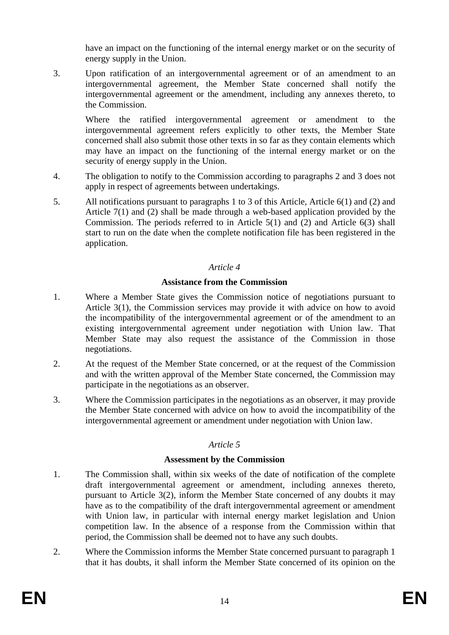have an impact on the functioning of the internal energy market or on the security of energy supply in the Union.

3. Upon ratification of an intergovernmental agreement or of an amendment to an intergovernmental agreement, the Member State concerned shall notify the intergovernmental agreement or the amendment, including any annexes thereto, to the Commission.

Where the ratified intergovernmental agreement or amendment to the intergovernmental agreement refers explicitly to other texts, the Member State concerned shall also submit those other texts in so far as they contain elements which may have an impact on the functioning of the internal energy market or on the security of energy supply in the Union.

- 4. The obligation to notify to the Commission according to paragraphs 2 and 3 does not apply in respect of agreements between undertakings.
- 5. All notifications pursuant to paragraphs 1 to 3 of this Article, Article 6(1) and (2) and Article 7(1) and (2) shall be made through a web-based application provided by the Commission. The periods referred to in Article 5(1) and (2) and Article 6(3) shall start to run on the date when the complete notification file has been registered in the application.

## *Article 4*

## **Assistance from the Commission**

- 1. Where a Member State gives the Commission notice of negotiations pursuant to Article 3(1), the Commission services may provide it with advice on how to avoid the incompatibility of the intergovernmental agreement or of the amendment to an existing intergovernmental agreement under negotiation with Union law. That Member State may also request the assistance of the Commission in those negotiations.
- 2. At the request of the Member State concerned, or at the request of the Commission and with the written approval of the Member State concerned, the Commission may participate in the negotiations as an observer.
- 3. Where the Commission participates in the negotiations as an observer, it may provide the Member State concerned with advice on how to avoid the incompatibility of the intergovernmental agreement or amendment under negotiation with Union law.

# *Article 5*

### **Assessment by the Commission**

- 1. The Commission shall, within six weeks of the date of notification of the complete draft intergovernmental agreement or amendment, including annexes thereto, pursuant to Article 3(2), inform the Member State concerned of any doubts it may have as to the compatibility of the draft intergovernmental agreement or amendment with Union law, in particular with internal energy market legislation and Union competition law. In the absence of a response from the Commission within that period, the Commission shall be deemed not to have any such doubts.
- 2. Where the Commission informs the Member State concerned pursuant to paragraph 1 that it has doubts, it shall inform the Member State concerned of its opinion on the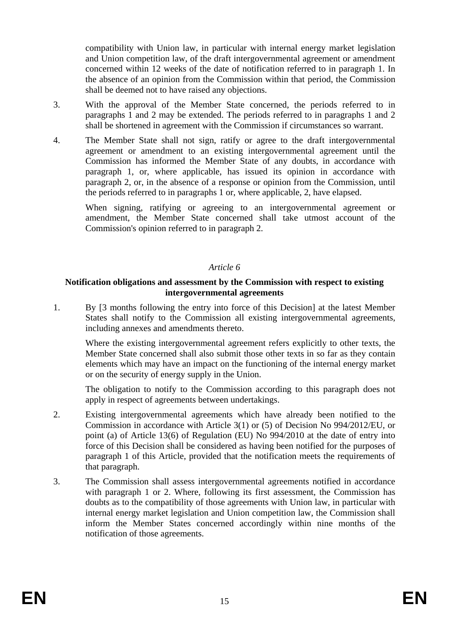compatibility with Union law, in particular with internal energy market legislation and Union competition law, of the draft intergovernmental agreement or amendment concerned within 12 weeks of the date of notification referred to in paragraph 1. In the absence of an opinion from the Commission within that period, the Commission shall be deemed not to have raised any objections.

- 3. With the approval of the Member State concerned, the periods referred to in paragraphs 1 and 2 may be extended. The periods referred to in paragraphs 1 and 2 shall be shortened in agreement with the Commission if circumstances so warrant.
- 4. The Member State shall not sign, ratify or agree to the draft intergovernmental agreement or amendment to an existing intergovernmental agreement until the Commission has informed the Member State of any doubts, in accordance with paragraph 1, or, where applicable, has issued its opinion in accordance with paragraph 2, or, in the absence of a response or opinion from the Commission, until the periods referred to in paragraphs 1 or, where applicable, 2, have elapsed.

When signing, ratifying or agreeing to an intergovernmental agreement or amendment, the Member State concerned shall take utmost account of the Commission's opinion referred to in paragraph 2.

## *Article 6*

### **Notification obligations and assessment by the Commission with respect to existing intergovernmental agreements**

1. By [3 months following the entry into force of this Decision] at the latest Member States shall notify to the Commission all existing intergovernmental agreements, including annexes and amendments thereto.

Where the existing intergovernmental agreement refers explicitly to other texts, the Member State concerned shall also submit those other texts in so far as they contain elements which may have an impact on the functioning of the internal energy market or on the security of energy supply in the Union.

The obligation to notify to the Commission according to this paragraph does not apply in respect of agreements between undertakings.

- 2. Existing intergovernmental agreements which have already been notified to the Commission in accordance with Article 3(1) or (5) of Decision No 994/2012/EU, or point (a) of Article 13(6) of Regulation (EU) No 994/2010 at the date of entry into force of this Decision shall be considered as having been notified for the purposes of paragraph 1 of this Article, provided that the notification meets the requirements of that paragraph.
- 3. The Commission shall assess intergovernmental agreements notified in accordance with paragraph 1 or 2. Where, following its first assessment, the Commission has doubts as to the compatibility of those agreements with Union law, in particular with internal energy market legislation and Union competition law, the Commission shall inform the Member States concerned accordingly within nine months of the notification of those agreements.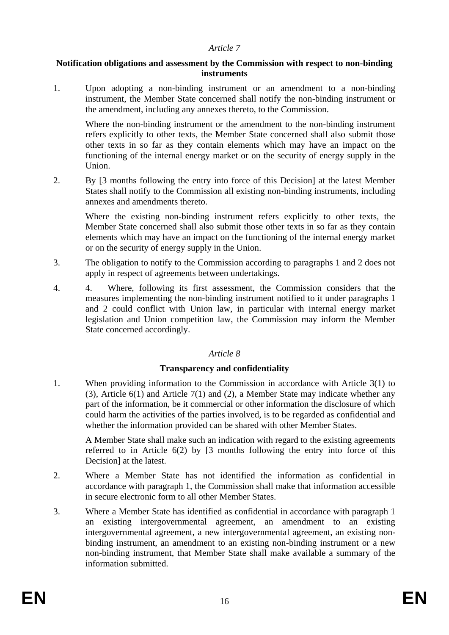### *Article 7*

### **Notification obligations and assessment by the Commission with respect to non-binding instruments**

1. Upon adopting a non-binding instrument or an amendment to a non-binding instrument, the Member State concerned shall notify the non-binding instrument or the amendment, including any annexes thereto, to the Commission.

Where the non-binding instrument or the amendment to the non-binding instrument refers explicitly to other texts, the Member State concerned shall also submit those other texts in so far as they contain elements which may have an impact on the functioning of the internal energy market or on the security of energy supply in the Union.

2. By [3 months following the entry into force of this Decision] at the latest Member States shall notify to the Commission all existing non-binding instruments, including annexes and amendments thereto.

Where the existing non-binding instrument refers explicitly to other texts, the Member State concerned shall also submit those other texts in so far as they contain elements which may have an impact on the functioning of the internal energy market or on the security of energy supply in the Union.

- 3. The obligation to notify to the Commission according to paragraphs 1 and 2 does not apply in respect of agreements between undertakings.
- 4. 4. Where, following its first assessment, the Commission considers that the measures implementing the non-binding instrument notified to it under paragraphs 1 and 2 could conflict with Union law, in particular with internal energy market legislation and Union competition law, the Commission may inform the Member State concerned accordingly.

### *Article 8*

### **Transparency and confidentiality**

1. When providing information to the Commission in accordance with Article 3(1) to (3), Article 6(1) and Article 7(1) and (2), a Member State may indicate whether any part of the information, be it commercial or other information the disclosure of which could harm the activities of the parties involved, is to be regarded as confidential and whether the information provided can be shared with other Member States.

A Member State shall make such an indication with regard to the existing agreements referred to in Article 6(2) by [3 months following the entry into force of this Decision] at the latest.

- 2. Where a Member State has not identified the information as confidential in accordance with paragraph 1, the Commission shall make that information accessible in secure electronic form to all other Member States.
- 3. Where a Member State has identified as confidential in accordance with paragraph 1 an existing intergovernmental agreement, an amendment to an existing intergovernmental agreement, a new intergovernmental agreement, an existing nonbinding instrument, an amendment to an existing non-binding instrument or a new non-binding instrument, that Member State shall make available a summary of the information submitted.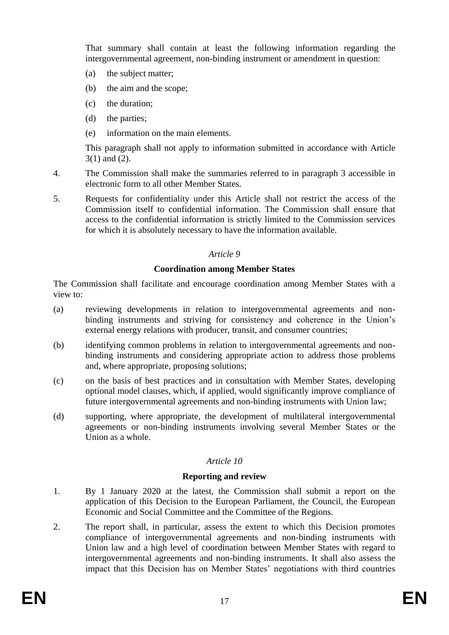That summary shall contain at least the following information regarding the intergovernmental agreement, non-binding instrument or amendment in question:

- (a) the subject matter;
- (b) the aim and the scope;
- (c) the duration;
- (d) the parties;
- (e) information on the main elements.

This paragraph shall not apply to information submitted in accordance with Article 3(1) and (2).

- 4. The Commission shall make the summaries referred to in paragraph 3 accessible in electronic form to all other Member States.
- 5. Requests for confidentiality under this Article shall not restrict the access of the Commission itself to confidential information. The Commission shall ensure that access to the confidential information is strictly limited to the Commission services for which it is absolutely necessary to have the information available.

### *Article 9*

### **Coordination among Member States**

The Commission shall facilitate and encourage coordination among Member States with a view to:

- (a) reviewing developments in relation to intergovernmental agreements and nonbinding instruments and striving for consistency and coherence in the Union's external energy relations with producer, transit, and consumer countries;
- (b) identifying common problems in relation to intergovernmental agreements and nonbinding instruments and considering appropriate action to address those problems and, where appropriate, proposing solutions;
- (c) on the basis of best practices and in consultation with Member States, developing optional model clauses, which, if applied, would significantly improve compliance of future intergovernmental agreements and non-binding instruments with Union law;
- (d) supporting, where appropriate, the development of multilateral intergovernmental agreements or non-binding instruments involving several Member States or the Union as a whole.

# *Article 10*

### **Reporting and review**

- 1. By 1 January 2020 at the latest, the Commission shall submit a report on the application of this Decision to the European Parliament, the Council, the European Economic and Social Committee and the Committee of the Regions.
- 2. The report shall, in particular, assess the extent to which this Decision promotes compliance of intergovernmental agreements and non-binding instruments with Union law and a high level of coordination between Member States with regard to intergovernmental agreements and non-binding instruments. It shall also assess the impact that this Decision has on Member States' negotiations with third countries